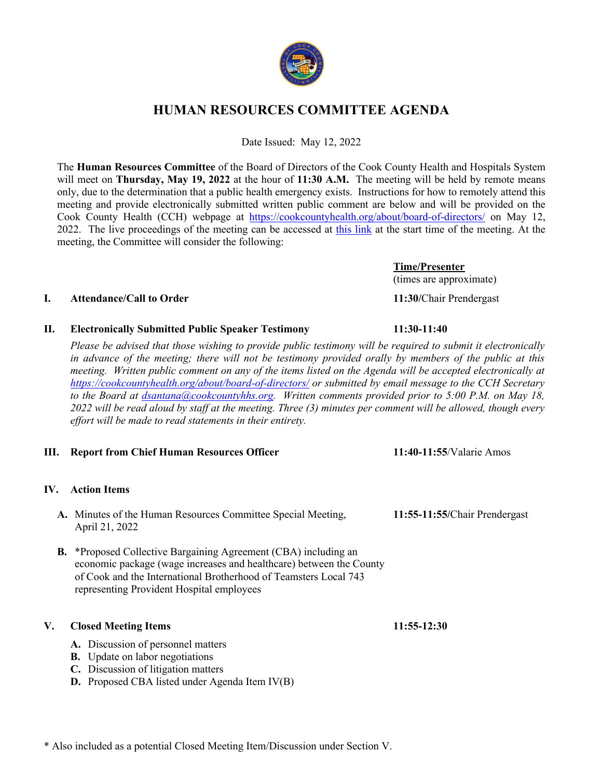

# **HUMAN RESOURCES COMMITTEE AGENDA**

Date Issued: May 12, 2022

The **Human Resources Committee** of the Board of Directors of the Cook County Health and Hospitals System will meet on **Thursday, May 19, 2022** at the hour of **11:30 A.M.** The meeting will be held by remote means only, due to the determination that a public health emergency exists. Instructions for how to remotely attend this meeting and provide electronically submitted written public comment are below and will be provided on the Cook County Health (CCH) webpage at https://cookcountyhealth.org/about/board-of-directors/ on May 12, 2022. The live proceedings of the meeting can be accessed at this link at the start time of the meeting. At the meeting, the Committee will consider the following:

> **Time/Presenter** (times are approximate)

# **I. Attendance/Call to Order 11:30/**Chair Prendergast

**II. Electronically Submitted Public Speaker Testimony 11:30-11:40**

*Please be advised that those wishing to provide public testimony will be required to submit it electronically in advance of the meeting; there will not be testimony provided orally by members of the public at this meeting. Written public comment on any of the items listed on the Agenda will be accepted electronically at https://cookcountyhealth.org/about/board-of-directors/ or submitted by email message to the CCH Secretary to the Board at dsantana@cookcountyhhs.org. Written comments provided prior to 5:00 P.M. on May 18, 2022 will be read aloud by staff at the meeting. Three (3) minutes per comment will be allowed, though every effort will be made to read statements in their entirety.*

# **III. Report from Chief Human Resources Officer 11:40-11:55**/Valarie Amos

# **IV. Action Items**

- **A.** Minutes of the Human Resources Committee Special Meeting, **11:55-11:55/**Chair Prendergast April 21, 2022
- **B.** \*Proposed Collective Bargaining Agreement (CBA) including an economic package (wage increases and healthcare) between the County of Cook and the International Brotherhood of Teamsters Local 743 representing Provident Hospital employees

# **V. Closed Meeting Items 11:55-12:30**

- **A.** Discussion of personnel matters
- **B.** Update on labor negotiations
- **C.** Discussion of litigation matters
- **D.** Proposed CBA listed under Agenda Item IV(B)

\* Also included as a potential Closed Meeting Item/Discussion under Section V.